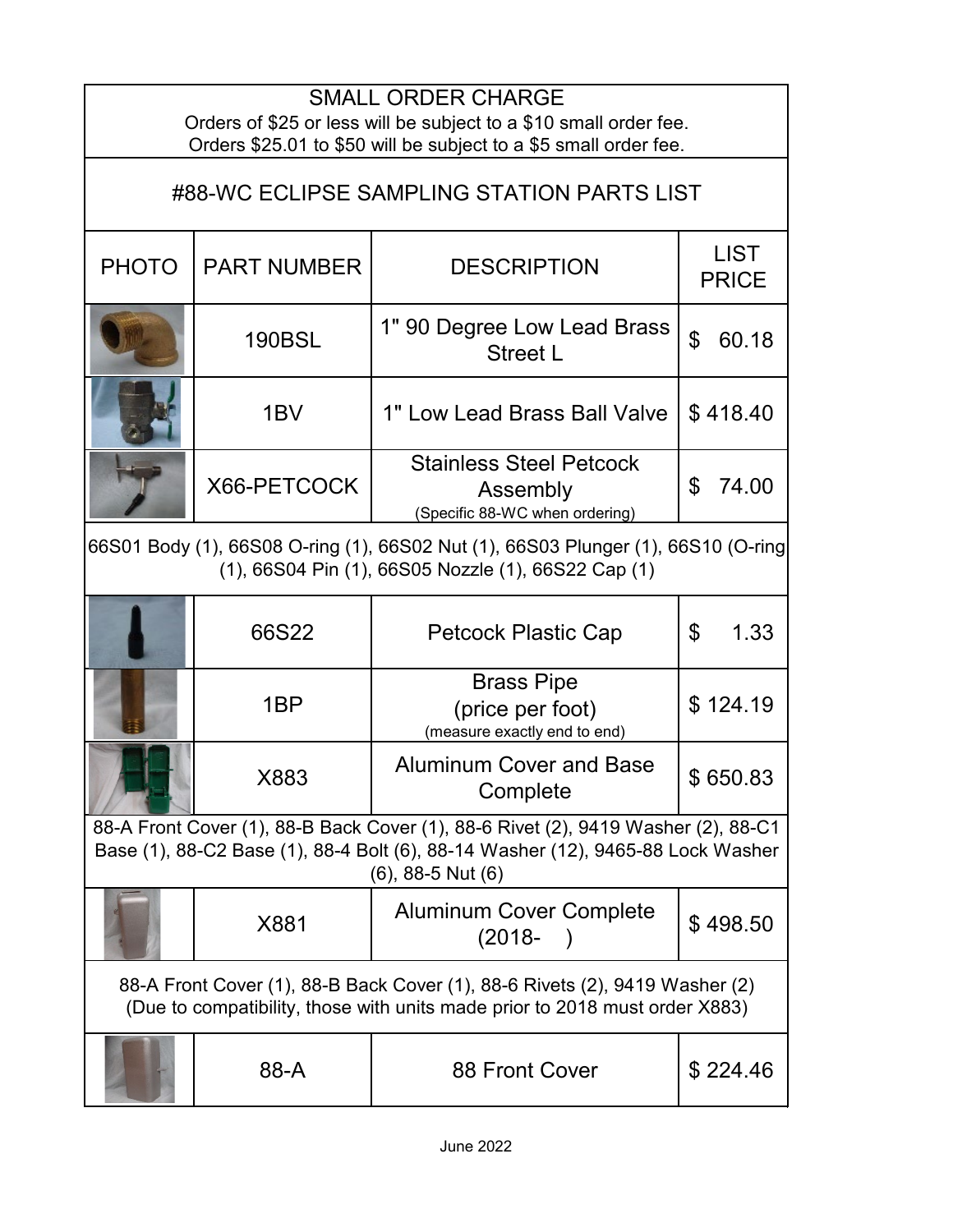| <b>SMALL ORDER CHARGE</b><br>Orders of \$25 or less will be subject to a \$10 small order fee.<br>Orders \$25.01 to \$50 will be subject to a \$5 small order fee.                             |                    |                                                                              |                             |  |
|------------------------------------------------------------------------------------------------------------------------------------------------------------------------------------------------|--------------------|------------------------------------------------------------------------------|-----------------------------|--|
| #88-WC ECLIPSE SAMPLING STATION PARTS LIST                                                                                                                                                     |                    |                                                                              |                             |  |
| <b>PHOTO</b>                                                                                                                                                                                   | <b>PART NUMBER</b> | <b>DESCRIPTION</b>                                                           | <b>LIST</b><br><b>PRICE</b> |  |
|                                                                                                                                                                                                | <b>190BSL</b>      | 1" 90 Degree Low Lead Brass<br><b>Street L</b>                               | $\mathfrak{L}$<br>60.18     |  |
|                                                                                                                                                                                                | 1 <sub>BV</sub>    | 1" Low Lead Brass Ball Valve                                                 | \$418.40                    |  |
|                                                                                                                                                                                                | X66-PETCOCK        | <b>Stainless Steel Petcock</b><br>Assembly<br>(Specific 88-WC when ordering) | 74.00<br>\$                 |  |
| 66S01 Body (1), 66S08 O-ring (1), 66S02 Nut (1), 66S03 Plunger (1), 66S10 (O-ring<br>(1), 66S04 Pin (1), 66S05 Nozzle (1), 66S22 Cap (1)                                                       |                    |                                                                              |                             |  |
|                                                                                                                                                                                                | 66S22              | <b>Petcock Plastic Cap</b>                                                   | \$<br>1.33                  |  |
|                                                                                                                                                                                                | 1BP                | <b>Brass Pipe</b><br>(price per foot)<br>(measure exactly end to end)        | \$124.19                    |  |
|                                                                                                                                                                                                | X883               | <b>Aluminum Cover and Base</b><br>Complete                                   | \$650.83                    |  |
| 88-A Front Cover (1), 88-B Back Cover (1), 88-6 Rivet (2), 9419 Washer (2), 88-C1<br>Base (1), 88-C2 Base (1), 88-4 Bolt (6), 88-14 Washer (12), 9465-88 Lock Washer<br>$(6)$ , 88-5 Nut $(6)$ |                    |                                                                              |                             |  |
|                                                                                                                                                                                                | X881               | <b>Aluminum Cover Complete</b><br>$(2018 -$                                  | \$498.50                    |  |
| 88-A Front Cover (1), 88-B Back Cover (1), 88-6 Rivets (2), 9419 Washer (2)<br>(Due to compatibility, those with units made prior to 2018 must order X883)                                     |                    |                                                                              |                             |  |
|                                                                                                                                                                                                | 88-A               | 88 Front Cover                                                               | \$224.46                    |  |